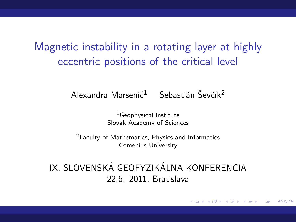Magnetic instability in a rotating layer at highly eccentric positions of the critical level

Alexandra Marseni $\zeta^1$  Sebastián Ševčík<sup>2</sup>

<span id="page-0-0"></span><sup>1</sup>Geophysical Institute Slovak Academy of Sciences

<sup>2</sup>Faculty of Mathematics, Physics and Informatics Comenius University

IX. SLOVENSKÁ GEOFYZIKÁLNA KONFERENCIA 22.6. 2011, Bratislava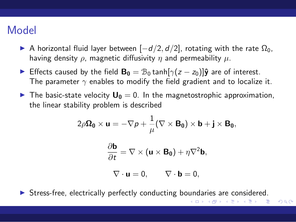# Model

- A horizontal fluid layer between  $[-d/2, d/2]$ , rotating with the rate  $\Omega_0$ , having density  $\rho$ , magnetic diffusivity  $\eta$  and permeability  $\mu$ .
- ► Effects caused by the field  $\mathbf{B_0} = \mathcal{B}_0 \tanh[\gamma(z z_0)]\hat{\mathbf{y}}$  are of interest. The parameter  $\gamma$  enables to modify the field gradient and to localize it.
- $\triangleright$  The basic-state velocity  $U_0 = 0$ . In the magnetostrophic approximation, the linear stability problem is described

$$
2\rho\Omega_0\times\mathbf{u}=-\nabla\rho+\frac{1}{\mu}(\nabla\times\mathbf{B_0})\times\mathbf{b}+\mathbf{j}\times\mathbf{B_0},
$$

$$
\frac{\partial \mathbf{b}}{\partial t} = \nabla \times (\mathbf{u} \times \mathbf{B_0}) + \eta \nabla^2 \mathbf{b},
$$

$$
\nabla \cdot \mathbf{u} = 0, \qquad \nabla \cdot \mathbf{b} = 0,
$$

<span id="page-1-0"></span> $QQQ$ 

▶ Stress-free, electrically perfectly conducting bo[un](#page-0-0)[dar](#page-2-0)[i](#page-0-0)[es](#page-1-0) [ar](#page-2-0)[e](#page-0-0) [con](#page-18-0)[sid](#page-0-0)[er](#page-18-0)[ed](#page-0-0)[.](#page-18-0)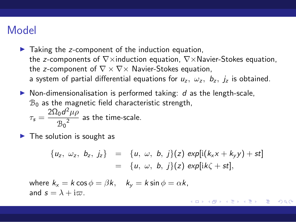## Model

- $\blacktriangleright$  Taking the z-component of the induction equation, the z-components of  $\nabla \times$ induction equation,  $\nabla \times$ Navier-Stokes equation, the z-component of  $\nabla \times \nabla \times$  Navier-Stokes equation, a system of partial differential equations for  $u_z$ ,  $\omega_z$ ,  $b_z$ ,  $j_z$  is obtained.
- $\triangleright$  Non-dimensionalisation is performed taking: d as the length-scale,  $B_0$  as the magnetic field characteristic strength,  $\tau_s = \frac{2\Omega_0 d^2 \mu \rho}{r^2}$  $\frac{36a}{B_0^2}$  as the time-scale.
- $\blacktriangleright$  The solution is sought as

<span id="page-2-0"></span>
$$
\begin{array}{rcl}\n\{u_z, \ \omega_z, \ b_z, \ j_z\} & = & \{u, \ \omega, \ b, \ j\}(z) \ \exp[i(k_x x + k_y y) + st] \\
& = & \{u, \ \omega, \ b, \ j\}(z) \ \exp[i k \zeta + st],\n\end{array}
$$

where  $k_x = k \cos \phi = \beta k$ ,  $k_y = k \sin \phi = \alpha k$ , and  $s = \lambda + i\varpi$ .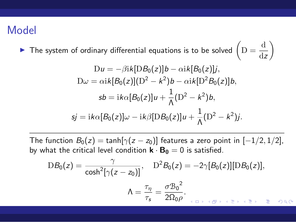## Model

▶ The system of ordinary differential equations is to be solved  $\left(D = \frac{d}{dt}\right)$ dz  $\setminus$ 

$$
Du = -\beta i k [D B_0(z)] b - \alpha i k [B_0(z)] j,
$$
  
\n
$$
D\omega = \alpha i k [B_0(z)] (D^2 - k^2) b - \alpha i k [D^2 B_0(z)] b,
$$
  
\n
$$
sb = i k \alpha [B_0(z)] u + \frac{1}{\Lambda} (D^2 - k^2) b,
$$
  
\n
$$
sj = i k \alpha [B_0(z)] \omega - i k \beta [D B_0(z)] u + \frac{1}{\Lambda} (D^2 - k^2) j.
$$

The function  $B_0(z) = \tanh[\gamma(z - z_0)]$  features a zero point in  $[-1/2, 1/2]$ , by what the critical level condition  $\mathbf{k} \cdot \mathbf{B_0} = 0$  is satisfied.

$$
DB_0(z) = \frac{\gamma}{\cosh^2[\gamma(z-z_0)]}, \quad D^2B_0(z) = -2\gamma[B_0(z)][DB_0(z)],
$$

$$
\Lambda = \frac{\tau_\eta}{\tau_s} = \frac{\sigma B_0^2}{2\Omega_0 \rho}.
$$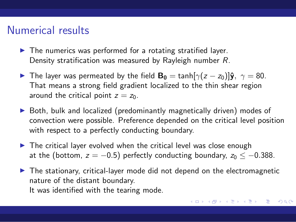#### Numerical results

- $\blacktriangleright$  The numerics was performed for a rotating stratified layer. Density stratification was measured by Rayleigh number R.
- The layer was permeated by the field  $\mathbf{B}_0 = \tanh[\gamma(z z_0)]\hat{\mathbf{y}}, \gamma = 80$ . That means a strong field gradient localized to the thin shear region around the critical point  $z = z_0$ .
- $\triangleright$  Both, bulk and localized (predominantly magnetically driven) modes of convection were possible. Preference depended on the critical level position with respect to a perfectly conducting boundary.
- $\triangleright$  The critical layer evolved when the critical level was close enough at the (bottom,  $z = -0.5$ ) perfectly conducting boundary,  $z_0 \le -0.388$ .
- ▶ The stationary, critical-layer mode did not depend on the electromagnetic nature of the distant boundary. It was identified with the tearing mode.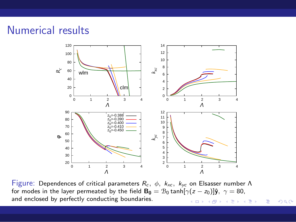# Numerical results



Figure: Dependences of critical parameters  $R_c$ ,  $\phi$ ,  $k_{xc}$ ,  $k_{yc}$  on Elsasser number Λ for modes in the layer permeated by the field  $B_0 = B_0 \tanh[\gamma(z - z_0)]\hat{y}$ ,  $\gamma = 80$ , and enclosed by perfectly conducting boundaries.メロメ メ御き メミメ メミメ

重

 $299$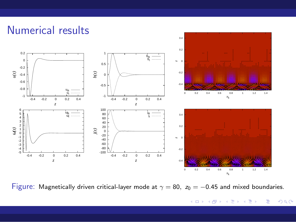

Figure: Magnetically driven critical-layer mode at  $\gamma = 80$ ,  $z_0 = -0.45$  and mixed boundaries.

メロメ メ御 メメ ミメ メモメ 重  $299$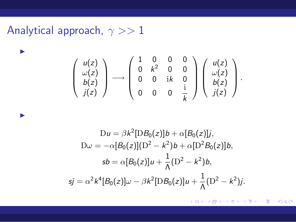Analytical approach,  $\gamma >> 1$ 

◮

◮

$$
\left(\begin{array}{c} u(z) \\ \omega(z) \\ b(z) \\ j(z) \end{array}\right) \longrightarrow \left(\begin{array}{cccc} 1 & 0 & 0 & 0 \\ 0 & k^2 & 0 & 0 \\ 0 & 0 & ik & 0 \\ 0 & 0 & 0 & \frac{i}{k} \end{array}\right) \left(\begin{array}{c} u(z) \\ \omega(z) \\ b(z) \\ j(z) \end{array}\right).
$$

$$
Du = \beta k^{2} [D B_{0}(z)]b + \alpha [B_{0}(z)]j,
$$
  
\n
$$
D\omega = -\alpha [B_{0}(z)](D^{2} - k^{2})b + \alpha [D^{2} B_{0}(z)]b,
$$
  
\n
$$
sb = \alpha [B_{0}(z)]u + \frac{1}{\Lambda}(D^{2} - k^{2})b,
$$
  
\n
$$
sj = \alpha^{2} k^{4} [B_{0}(z)]\omega - \beta k^{2} [D B_{0}(z)]u + \frac{1}{\Lambda}(D^{2} - k^{2})j.
$$

K ロ ▶ K 個 ▶ K 君 ▶ K 君 ▶ 「君」 めなひ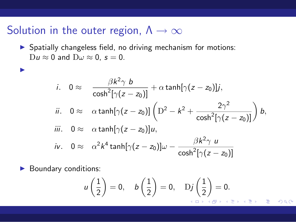# Solution in the outer region,  $\Lambda \rightarrow \infty$

▶ Spatially changeless field, no driving mechanism for motions:  $Du \approx 0$  and  $D\omega \approx 0$ ,  $s = 0$ .

$$
i. \quad 0 \approx \quad \frac{\beta k^2 \gamma b}{\cosh^2[\gamma(z - z_0)]} + \alpha \tanh[\gamma(z - z_0)]j,
$$
  
\n
$$
ii. \quad 0 \approx \quad \alpha \tanh[\gamma(z - z_0)] \left( D^2 - k^2 + \frac{2\gamma^2}{\cosh^2[\gamma(z - z_0)]} \right) b,
$$
  
\n
$$
iii. \quad 0 \approx \quad \alpha \tanh[\gamma(z - z_0)]u,
$$
  
\n
$$
iv. \quad 0 \approx \quad \alpha^2 k^4 \tanh[\gamma(z - z_0)]\omega - \frac{\beta k^2 \gamma u}{\cosh^2[\gamma(z - z_0)]}
$$

▶ Boundary conditions:

◮

$$
u\left(\frac{1}{2}\right)=0, \quad b\left(\frac{1}{2}\right)=0, \quad \mathrm{D}j\left(\frac{1}{2}\right)=0.
$$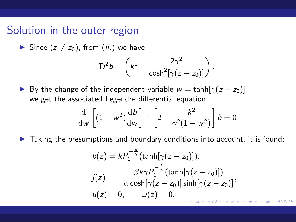#### Solution in the outer region

Since  $(z \neq z_0)$ , from (*ii*.) we have

$$
D^2b = \left(k^2 - \frac{2\gamma^2}{\cosh^2[\gamma(z-z_0)]}\right).
$$

► By the change of the independent variable  $w = \tanh[\gamma(z - z_0)]$ we get the associated Legendre differential equation

$$
\frac{\mathrm{d}}{\mathrm{d}w}\left[ (1 - w^2) \frac{\mathrm{d}b}{\mathrm{d}w} \right] + \left[ 2 - \frac{k^2}{\gamma^2 (1 - w^2)} \right] b = 0
$$

 $\blacktriangleright$  Taking the presumptions and boundary conditions into account, it is found:

$$
b(z) = kP_1^{-\frac{k}{\gamma}}(\tanh[\gamma(z-z_0)]),
$$
  
\n
$$
j(z) = -\frac{\beta k \gamma P_1^{-\frac{k}{\gamma}}(\tanh[\gamma(z-z_0)])}{\alpha \cosh[\gamma(z-z_0)] \sinh[\gamma(z-z_0)]},
$$
  
\n
$$
u(z) = 0, \qquad \omega(z) = 0.
$$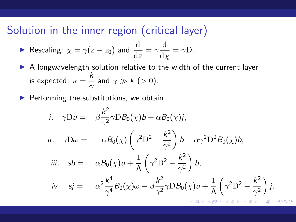# Solution in the inner region (critical layer)

$$
\blacktriangleright \text{ Rescaling: } \chi = \gamma(z - z_0) \text{ and } \frac{d}{dz} = \gamma \frac{d}{d\chi} = \gamma D.
$$

- ▶ A longwavelength solution relative to the width of the current layer is expected:  $\kappa = \frac{k}{k}$  $\frac{\pi}{\gamma}$  and  $\gamma \gg k$  ( $> 0$ ).
- $\blacktriangleright$  Performing the substitutions, we obtain

i. 
$$
\gamma Du = \beta \frac{k^2}{\gamma^2} \gamma DB_0(\chi) b + \alpha B_0(\chi) j
$$
,  
\nii.  $\gamma D\omega = -\alpha B_0(\chi) \left( \gamma^2 D^2 - \frac{k^2}{\gamma^2} \right) b + \alpha \gamma^2 D^2 B_0(\chi) b$ ,  
\niii.  $sb = \alpha B_0(\chi) u + \frac{1}{\Lambda} \left( \gamma^2 D^2 - \frac{k^2}{\gamma^2} \right) b$ ,  
\niv.  $sj = \alpha^2 \frac{k^4}{\gamma^4} B_0(\chi) \omega - \beta \frac{k^2}{\gamma^2} \gamma DB_0(\chi) u + \frac{1}{\Lambda} \left( \gamma^2 D^2 - \frac{k^2}{\gamma^2} \right) j$ .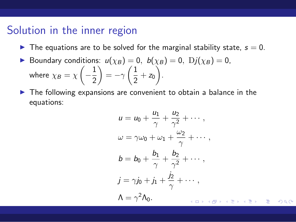$\blacktriangleright$  The equations are to be solved for the marginal stability state,  $s = 0$ .

► Boundary conditions: 
$$
u(\chi_B) = 0
$$
,  $b(\chi_B) = 0$ ,  $Dj(\chi_B) = 0$ ,  
where  $\chi_B = \chi\left(-\frac{1}{2}\right) = -\gamma\left(\frac{1}{2} + z_0\right)$ .

▶ The following expansions are convenient to obtain a balance in the equations:

$$
u = u_0 + \frac{u_1}{\gamma} + \frac{u_2}{\gamma^2} + \cdots,
$$
  
\n
$$
\omega = \gamma \omega_0 + \omega_1 + \frac{\omega_2}{\gamma} + \cdots,
$$
  
\n
$$
b = b_0 + \frac{b_1}{\gamma} + \frac{b_2}{\gamma^2} + \cdots,
$$
  
\n
$$
j = \gamma j_0 + j_1 + \frac{j_2}{\gamma} + \cdots,
$$
  
\n
$$
\Lambda = \gamma^2 \Lambda_0.
$$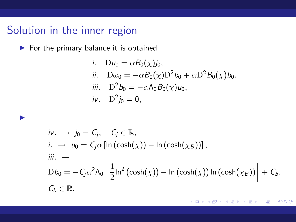◮

 $\blacktriangleright$  For the primary balance it is obtained

i. 
$$
Du_0 = \alpha B_0(\chi)j_0
$$
,  
\nii.  $D\omega_0 = -\alpha B_0(\chi)D^2b_0 + \alpha D^2B_0(\chi)b_0$ ,  
\niii.  $D^2b_0 = -\alpha \Lambda_0B_0(\chi)u_0$ ,  
\niv.  $D^2j_0 = 0$ ,

$$
\begin{aligned}\n\text{i.} \quad &\rightarrow \quad j_0 = C_j, \quad C_j \in \mathbb{R}, \\
\text{i.} \quad &\rightarrow \quad u_0 = C_j \alpha \left[ \ln \left( \cosh(\chi) \right) - \ln \left( \cosh(\chi_B) \right) \right], \\
\text{iii.} \quad &\rightarrow \\
&\text{D}b_0 = -C_j \alpha^2 \Lambda_0 \left[ \frac{1}{2} \ln^2 \left( \cosh(\chi) \right) - \ln \left( \cosh(\chi) \right) \ln \left( \cosh(\chi_B) \right) \right] + C_b, \\
&\text{C}_b \in \mathbb{R}.\n\end{aligned}
$$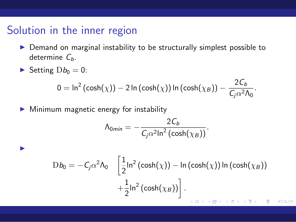- ▶ Demand on marginal instability to be structurally simplest possible to determine  $C_b$ .
- Setting  $Db_0 = 0$ :

◮

$$
0 = \ln^2(\cosh(\chi)) - 2\ln(\cosh(\chi))\ln(\cosh(\chi_B)) - \frac{2C_b}{C_j\alpha^2\Lambda_0}.
$$

▶ Minimum magnetic energy for instability

$$
\Lambda_{0min} = -\frac{2C_b}{C_j\alpha^2\ln^2(\cosh(\chi_B))}.
$$

$$
Db_0 = -C_j \alpha^2 \Lambda_0 \left[ \frac{1}{2} \ln^2 (\cosh(\chi)) - \ln (\cosh(\chi)) \ln (\cosh(\chi_B)) + \frac{1}{2} \ln^2 (\cosh(\chi_B)) \right].
$$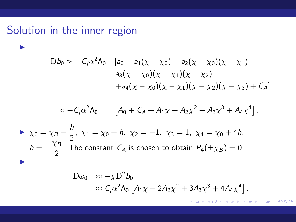◮

$$
Db_0 \approx -C_j \alpha^2 \Lambda_0 \quad [a_0 + a_1(\chi - \chi_0) + a_2(\chi - \chi_0)(\chi - \chi_1) +a_3(\chi - \chi_0)(\chi - \chi_1)(\chi - \chi_2)+ a_4(\chi - \chi_0)(\chi - \chi_1)(\chi - \chi_2)(\chi - \chi_3) + C_A]
$$

$$
\approx -C_j \alpha^2 \Lambda_0
$$
  $[A_0 + C_A + A_1 \chi + A_2 \chi^2 + A_3 \chi^3 + A_4 \chi^4]$ .

$$
\triangleright \ \chi_0 = \chi_B - \frac{h}{2}, \ \chi_1 = \chi_0 + h, \ \chi_2 = -1, \ \chi_3 = 1, \ \chi_4 = \chi_0 + 4h,
$$
  
\n
$$
h = -\frac{\chi_B}{2}.
$$
 The constant  $C_A$  is chosen to obtain  $P_4(\pm \chi_B) = 0.$ 

$$
\begin{aligned} D\omega_0 &\approx -\chi D^2 b_0 \\ &\approx \mathcal{C}_j \alpha^2 \Lambda_0 \left[ A_{1} \chi + 2A_2 \chi^2 + 3A_3 \chi^3 + 4A_4 \chi^4 \right]. \end{aligned}
$$

重  $OQ$  $\leftarrow$   $\Box$ 重きす ミト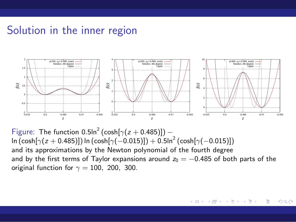

Figure: The function  $0.5\ln^2$  (cosh[ $\gamma(z + 0.485)$ ]) –  $\ln\left(\cosh[\gamma(z+0.485)]\right)$  ln  $\left(\cosh[\gamma(-0.015)]\right) + 0.5$ ln $^2$   $\left(\cosh[\gamma(-0.015)]\right)$ and its approximations by the Newton polynomial of the fourth degree and by the first terms of Taylor expansions around  $z_0 = -0.485$  of both parts of the original function for  $\gamma = 100$ , 200, 300.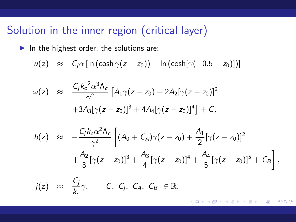# Solution in the inner region (critical layer)

 $\blacktriangleright$  In the highest order, the solutions are:

$$
u(z) \approx C_j \alpha [\ln (\cosh \gamma(z-z_0)) - \ln (\cosh[\gamma(-0.5-z_0)])]
$$

$$
\omega(z) \approx \frac{C_j k_c^2 \alpha^3 \Lambda_c}{\gamma^2} \left[ A_1 \gamma (z - z_0) + 2 A_2 [\gamma (z - z_0)]^2 + 3 A_3 [\gamma (z - z_0)]^3 + 4 A_4 [\gamma (z - z_0)]^4 \right] + C,
$$

$$
b(z) \approx -\frac{C_j k_c \alpha^2 \Lambda_c}{\gamma^2} \left[ (A_0 + C_A) \gamma (z - z_0) + \frac{A_1}{2} [\gamma (z - z_0)]^2 + \frac{A_2}{3} [\gamma (z - z_0)]^3 + \frac{A_3}{4} [\gamma (z - z_0)]^4 + \frac{A_4}{5} [\gamma (z - z_0)]^5 + C_B \right],
$$

$$
j(z) \approx \frac{C_j}{k_c} \gamma
$$
,  $C, C_j, C_A, C_B \in \mathbb{R}$ .

<span id="page-16-0"></span> $\leftarrow$ э  $\Omega$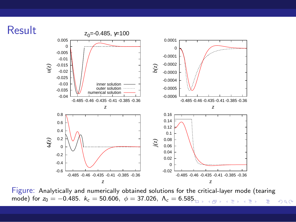

Figure: Analytically and numerically obtained solutions for the critical-layer mode (tearing mode) for  $z_0 = -0.485$ .  $k_c = 50.606$ ,  $\phi = 37.026$ ,  $\Lambda_c = 6.585$ . Þ  $299$